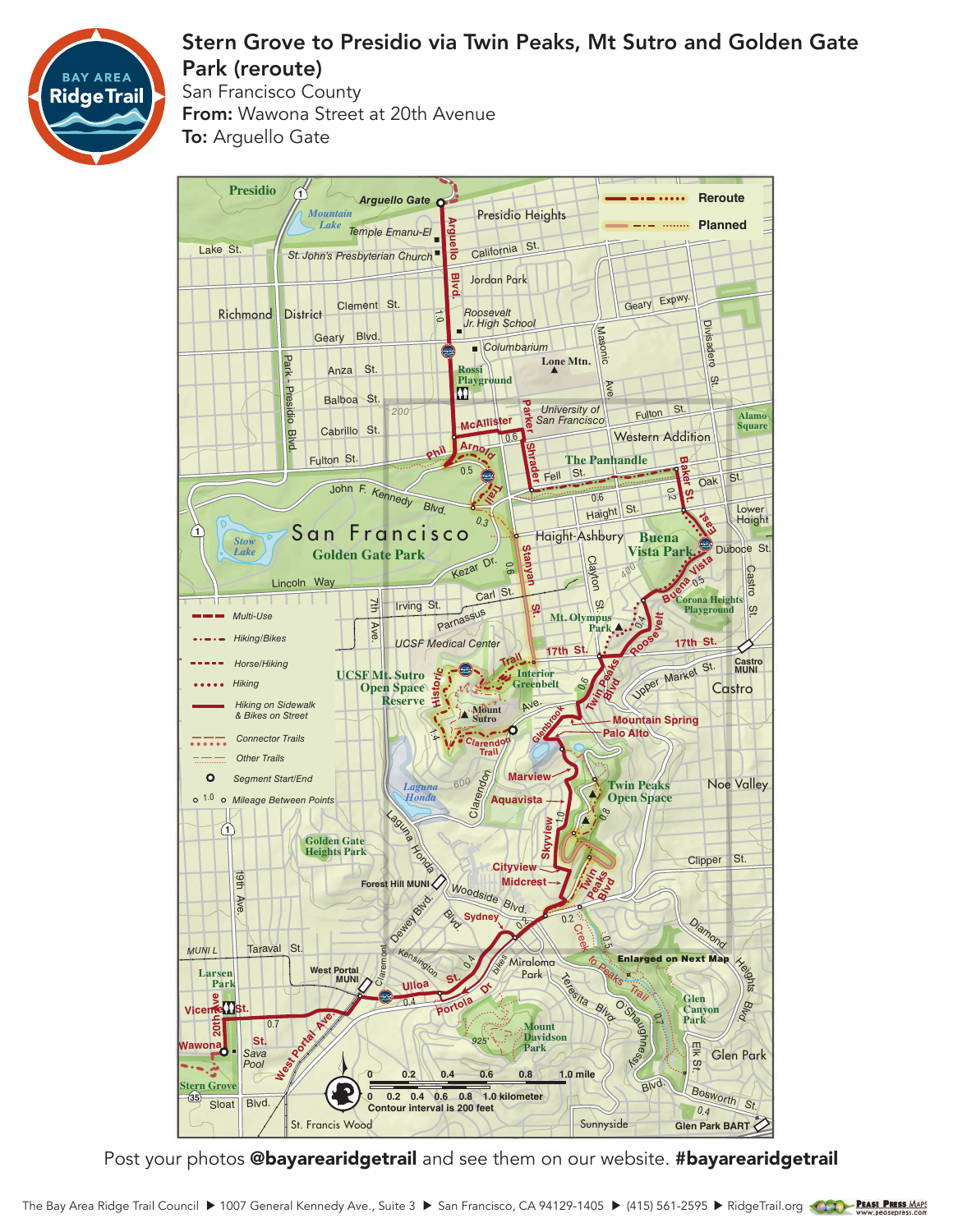

## Stern Grove to Presidio via Twin Peaks, Mt Sutro and Golden Gate Park (reroute)

San Francisco County From: Wawona Street at 20th Avenue **To:** Arguello Gate



Post your photos @bayarearidgetrail and see them on our website. #bayarearidgetrail